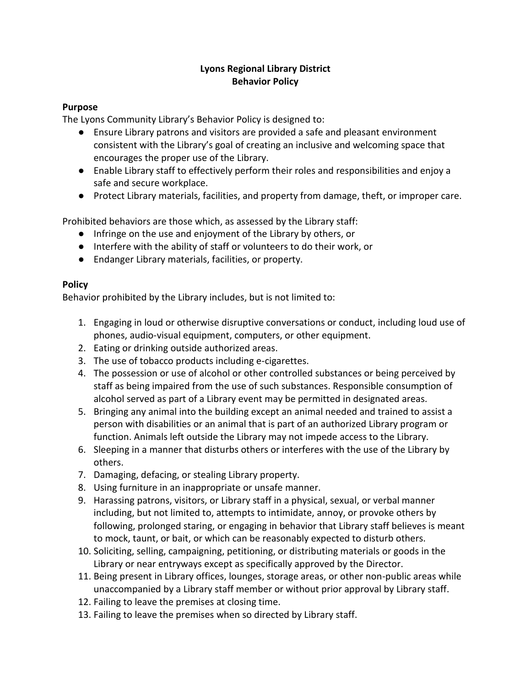# **Lyons Regional Library District Behavior Policy**

## **Purpose**

The Lyons Community Library's Behavior Policy is designed to:

- Ensure Library patrons and visitors are provided a safe and pleasant environment consistent with the Library's goal of creating an inclusive and welcoming space that encourages the proper use of the Library.
- Enable Library staff to effectively perform their roles and responsibilities and enjoy a safe and secure workplace.
- Protect Library materials, facilities, and property from damage, theft, or improper care.

Prohibited behaviors are those which, as assessed by the Library staff:

- Infringe on the use and enjoyment of the Library by others, or
- Interfere with the ability of staff or volunteers to do their work, or
- Endanger Library materials, facilities, or property.

#### **Policy**

Behavior prohibited by the Library includes, but is not limited to:

- 1. Engaging in loud or otherwise disruptive conversations or conduct, including loud use of phones, audio-visual equipment, computers, or other equipment.
- 2. Eating or drinking outside authorized areas.
- 3. The use of tobacco products including e-cigarettes.
- 4. The possession or use of alcohol or other controlled substances or being perceived by staff as being impaired from the use of such substances. Responsible consumption of alcohol served as part of a Library event may be permitted in designated areas.
- 5. Bringing any animal into the building except an animal needed and trained to assist a person with disabilities or an animal that is part of an authorized Library program or function. Animals left outside the Library may not impede access to the Library.
- 6. Sleeping in a manner that disturbs others or interferes with the use of the Library by others.
- 7. Damaging, defacing, or stealing Library property.
- 8. Using furniture in an inappropriate or unsafe manner.
- 9. Harassing patrons, visitors, or Library staff in a physical, sexual, or verbal manner including, but not limited to, attempts to intimidate, annoy, or provoke others by following, prolonged staring, or engaging in behavior that Library staff believes is meant to mock, taunt, or bait, or which can be reasonably expected to disturb others.
- 10. Soliciting, selling, campaigning, petitioning, or distributing materials or goods in the Library or near entryways except as specifically approved by the Director.
- 11. Being present in Library offices, lounges, storage areas, or other non-public areas while unaccompanied by a Library staff member or without prior approval by Library staff.
- 12. Failing to leave the premises at closing time.
- 13. Failing to leave the premises when so directed by Library staff.